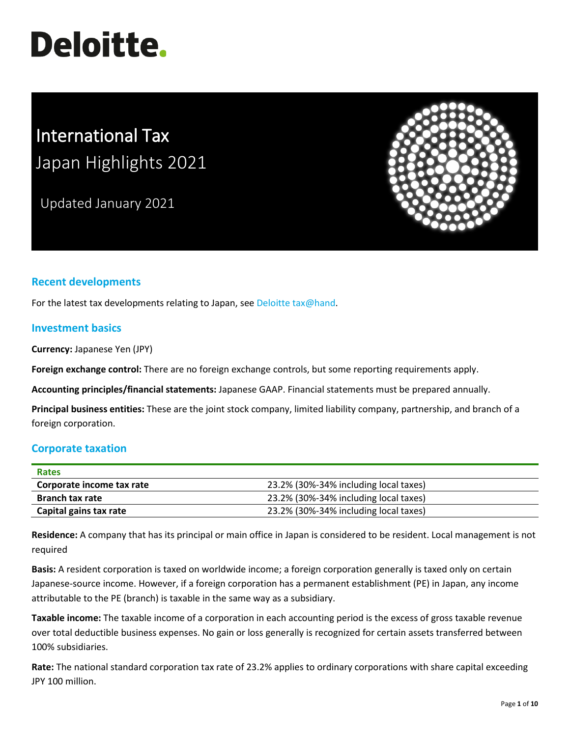# **Deloitte.**

# International Tax Japan Highlights 2021

Updated January 2021



## **Recent developments**

For the latest tax developments relating to Japan, see [Deloitte tax@hand.](https://www.taxathand.com/world-news/Japan)

#### **Investment basics**

**Currency:** Japanese Yen (JPY)

**Foreign exchange control:** There are no foreign exchange controls, but some reporting requirements apply.

**Accounting principles/financial statements:** Japanese GAAP. Financial statements must be prepared annually.

**Principal business entities:** These are the joint stock company, limited liability company, partnership, and branch of a foreign corporation.

#### **Corporate taxation**

| <b>Rates</b>              |                                       |
|---------------------------|---------------------------------------|
| Corporate income tax rate | 23.2% (30%-34% including local taxes) |
| <b>Branch tax rate</b>    | 23.2% (30%-34% including local taxes) |
| Capital gains tax rate    | 23.2% (30%-34% including local taxes) |

**Residence:** A company that has its principal or main office in Japan is considered to be resident. Local management is not required

**Basis:** A resident corporation is taxed on worldwide income; a foreign corporation generally is taxed only on certain Japanese-source income. However, if a foreign corporation has a permanent establishment (PE) in Japan, any income attributable to the PE (branch) is taxable in the same way as a subsidiary.

**Taxable income:** The taxable income of a corporation in each accounting period is the excess of gross taxable revenue over total deductible business expenses. No gain or loss generally is recognized for certain assets transferred between 100% subsidiaries.

**Rate:** The national standard corporation tax rate of 23.2% applies to ordinary corporations with share capital exceeding JPY 100 million.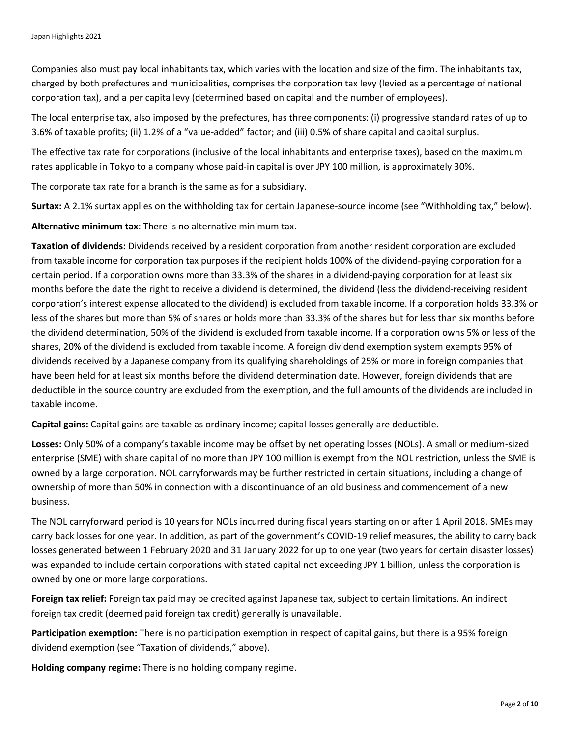Companies also must pay local inhabitants tax, which varies with the location and size of the firm. The inhabitants tax, charged by both prefectures and municipalities, comprises the corporation tax levy (levied as a percentage of national corporation tax), and a per capita levy (determined based on capital and the number of employees).

The local enterprise tax, also imposed by the prefectures, has three components: (i) progressive standard rates of up to 3.6% of taxable profits; (ii) 1.2% of a "value-added" factor; and (iii) 0.5% of share capital and capital surplus.

The effective tax rate for corporations (inclusive of the local inhabitants and enterprise taxes), based on the maximum rates applicable in Tokyo to a company whose paid-in capital is over JPY 100 million, is approximately 30%.

The corporate tax rate for a branch is the same as for a subsidiary.

**Surtax:** A 2.1% surtax applies on the withholding tax for certain Japanese-source income (see "Withholding tax," below).

**Alternative minimum tax**: There is no alternative minimum tax.

**Taxation of dividends:** Dividends received by a resident corporation from another resident corporation are excluded from taxable income for corporation tax purposes if the recipient holds 100% of the dividend-paying corporation for a certain period. If a corporation owns more than 33.3% of the shares in a dividend-paying corporation for at least six months before the date the right to receive a dividend is determined, the dividend (less the dividend-receiving resident corporation's interest expense allocated to the dividend) is excluded from taxable income. If a corporation holds 33.3% or less of the shares but more than 5% of shares or holds more than 33.3% of the shares but for less than six months before the dividend determination, 50% of the dividend is excluded from taxable income. If a corporation owns 5% or less of the shares, 20% of the dividend is excluded from taxable income. A foreign dividend exemption system exempts 95% of dividends received by a Japanese company from its qualifying shareholdings of 25% or more in foreign companies that have been held for at least six months before the dividend determination date. However, foreign dividends that are deductible in the source country are excluded from the exemption, and the full amounts of the dividends are included in taxable income.

**Capital gains:** Capital gains are taxable as ordinary income; capital losses generally are deductible.

**Losses:** Only 50% of a company's taxable income may be offset by net operating losses (NOLs). A small or medium-sized enterprise (SME) with share capital of no more than JPY 100 million is exempt from the NOL restriction, unless the SME is owned by a large corporation. NOL carryforwards may be further restricted in certain situations, including a change of ownership of more than 50% in connection with a discontinuance of an old business and commencement of a new business.

The NOL carryforward period is 10 years for NOLs incurred during fiscal years starting on or after 1 April 2018. SMEs may carry back losses for one year. In addition, as part of the government's COVID-19 relief measures, the ability to carry back losses generated between 1 February 2020 and 31 January 2022 for up to one year (two years for certain disaster losses) was expanded to include certain corporations with stated capital not exceeding JPY 1 billion, unless the corporation is owned by one or more large corporations.

**Foreign tax relief:** Foreign tax paid may be credited against Japanese tax, subject to certain limitations. An indirect foreign tax credit (deemed paid foreign tax credit) generally is unavailable.

**Participation exemption:** There is no participation exemption in respect of capital gains, but there is a 95% foreign dividend exemption (see "Taxation of dividends," above).

**Holding company regime:** There is no holding company regime.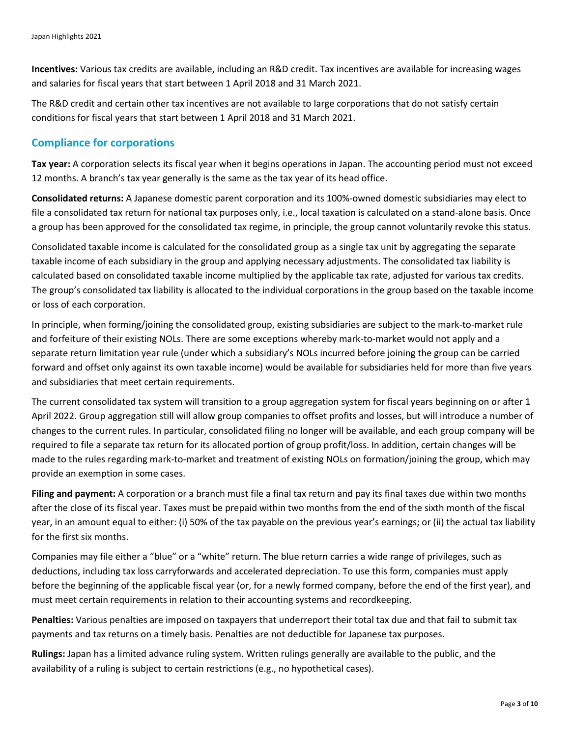**Incentives:** Various tax credits are available, including an R&D credit. Tax incentives are available for increasing wages and salaries for fiscal years that start between 1 April 2018 and 31 March 2021.

The R&D credit and certain other tax incentives are not available to large corporations that do not satisfy certain conditions for fiscal years that start between 1 April 2018 and 31 March 2021.

#### **Compliance for corporations**

**Tax year:** A corporation selects its fiscal year when it begins operations in Japan. The accounting period must not exceed 12 months. A branch's tax year generally is the same as the tax year of its head office.

**Consolidated returns:** A Japanese domestic parent corporation and its 100%-owned domestic subsidiaries may elect to file a consolidated tax return for national tax purposes only, i.e., local taxation is calculated on a stand-alone basis. Once a group has been approved for the consolidated tax regime, in principle, the group cannot voluntarily revoke this status.

Consolidated taxable income is calculated for the consolidated group as a single tax unit by aggregating the separate taxable income of each subsidiary in the group and applying necessary adjustments. The consolidated tax liability is calculated based on consolidated taxable income multiplied by the applicable tax rate, adjusted for various tax credits. The group's consolidated tax liability is allocated to the individual corporations in the group based on the taxable income or loss of each corporation.

In principle, when forming/joining the consolidated group, existing subsidiaries are subject to the mark-to-market rule and forfeiture of their existing NOLs. There are some exceptions whereby mark-to-market would not apply and a separate return limitation year rule (under which a subsidiary's NOLs incurred before joining the group can be carried forward and offset only against its own taxable income) would be available for subsidiaries held for more than five years and subsidiaries that meet certain requirements.

The current consolidated tax system will transition to a group aggregation system for fiscal years beginning on or after 1 April 2022. Group aggregation still will allow group companies to offset profits and losses, but will introduce a number of changes to the current rules. In particular, consolidated filing no longer will be available, and each group company will be required to file a separate tax return for its allocated portion of group profit/loss. In addition, certain changes will be made to the rules regarding mark-to-market and treatment of existing NOLs on formation/joining the group, which may provide an exemption in some cases.

**Filing and payment:** A corporation or a branch must file a final tax return and pay its final taxes due within two months after the close of its fiscal year. Taxes must be prepaid within two months from the end of the sixth month of the fiscal year, in an amount equal to either: (i) 50% of the tax payable on the previous year's earnings; or (ii) the actual tax liability for the first six months.

Companies may file either a "blue" or a "white" return. The blue return carries a wide range of privileges, such as deductions, including tax loss carryforwards and accelerated depreciation. To use this form, companies must apply before the beginning of the applicable fiscal year (or, for a newly formed company, before the end of the first year), and must meet certain requirements in relation to their accounting systems and recordkeeping.

**Penalties:** Various penalties are imposed on taxpayers that underreport their total tax due and that fail to submit tax payments and tax returns on a timely basis. Penalties are not deductible for Japanese tax purposes.

**Rulings:** Japan has a limited advance ruling system. Written rulings generally are available to the public, and the availability of a ruling is subject to certain restrictions (e.g., no hypothetical cases).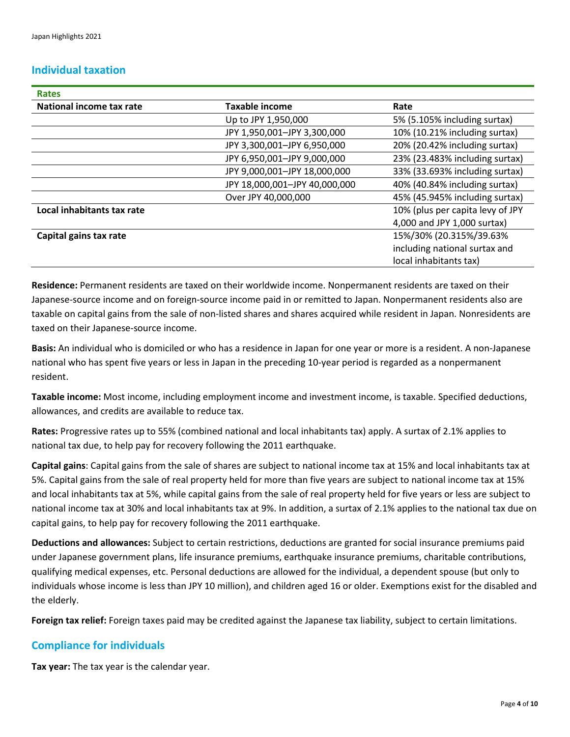### **Individual taxation**

| <b>Rates</b>               |                               |                                  |
|----------------------------|-------------------------------|----------------------------------|
| National income tax rate   | Taxable income                | Rate                             |
|                            | Up to JPY 1,950,000           | 5% (5.105% including surtax)     |
|                            | JPY 1,950,001-JPY 3,300,000   | 10% (10.21% including surtax)    |
|                            | JPY 3,300,001-JPY 6,950,000   | 20% (20.42% including surtax)    |
|                            | JPY 6,950,001-JPY 9,000,000   | 23% (23.483% including surtax)   |
|                            | JPY 9,000,001-JPY 18,000,000  | 33% (33.693% including surtax)   |
|                            | JPY 18,000,001-JPY 40,000,000 | 40% (40.84% including surtax)    |
|                            | Over JPY 40,000,000           | 45% (45.945% including surtax)   |
| Local inhabitants tax rate |                               | 10% (plus per capita levy of JPY |
|                            |                               | 4,000 and JPY 1,000 surtax)      |
| Capital gains tax rate     |                               | 15%/30% (20.315%/39.63%          |
|                            |                               | including national surtax and    |
|                            |                               | local inhabitants tax)           |

**Residence:** Permanent residents are taxed on their worldwide income. Nonpermanent residents are taxed on their Japanese-source income and on foreign-source income paid in or remitted to Japan. Nonpermanent residents also are taxable on capital gains from the sale of non-listed shares and shares acquired while resident in Japan. Nonresidents are taxed on their Japanese-source income.

**Basis:** An individual who is domiciled or who has a residence in Japan for one year or more is a resident. A non-Japanese national who has spent five years or less in Japan in the preceding 10-year period is regarded as a nonpermanent resident.

**Taxable income:** Most income, including employment income and investment income, is taxable. Specified deductions, allowances, and credits are available to reduce tax.

**Rates:** Progressive rates up to 55% (combined national and local inhabitants tax) apply. A surtax of 2.1% applies to national tax due, to help pay for recovery following the 2011 earthquake.

**Capital gains**: Capital gains from the sale of shares are subject to national income tax at 15% and local inhabitants tax at 5%. Capital gains from the sale of real property held for more than five years are subject to national income tax at 15% and local inhabitants tax at 5%, while capital gains from the sale of real property held for five years or less are subject to national income tax at 30% and local inhabitants tax at 9%. In addition, a surtax of 2.1% applies to the national tax due on capital gains, to help pay for recovery following the 2011 earthquake.

**Deductions and allowances:** Subject to certain restrictions, deductions are granted for social insurance premiums paid under Japanese government plans, life insurance premiums, earthquake insurance premiums, charitable contributions, qualifying medical expenses, etc. Personal deductions are allowed for the individual, a dependent spouse (but only to individuals whose income is less than JPY 10 million), and children aged 16 or older. Exemptions exist for the disabled and the elderly.

**Foreign tax relief:** Foreign taxes paid may be credited against the Japanese tax liability, subject to certain limitations.

#### **Compliance for individuals**

**Tax year:** The tax year is the calendar year.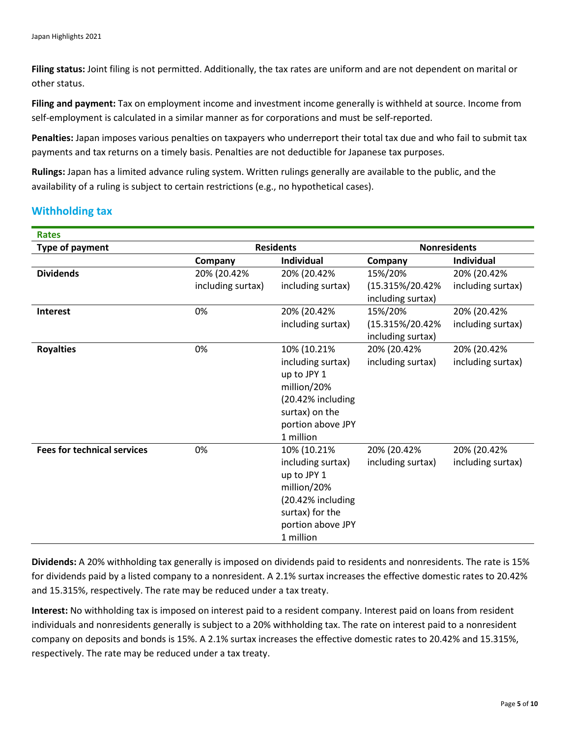**Filing status:** Joint filing is not permitted. Additionally, the tax rates are uniform and are not dependent on marital or other status.

**Filing and payment:** Tax on employment income and investment income generally is withheld at source. Income from self-employment is calculated in a similar manner as for corporations and must be self-reported.

**Penalties:** Japan imposes various penalties on taxpayers who underreport their total tax due and who fail to submit tax payments and tax returns on a timely basis. Penalties are not deductible for Japanese tax purposes.

**Rulings:** Japan has a limited advance ruling system. Written rulings generally are available to the public, and the availability of a ruling is subject to certain restrictions (e.g., no hypothetical cases).

# **Withholding tax**

| <b>Rates</b>                       |                   |                   |                     |                   |
|------------------------------------|-------------------|-------------------|---------------------|-------------------|
| <b>Type of payment</b>             | <b>Residents</b>  |                   | <b>Nonresidents</b> |                   |
|                                    | Company           | <b>Individual</b> | Company             | <b>Individual</b> |
| <b>Dividends</b>                   | 20% (20.42%       | 20% (20.42%       | 15%/20%             | 20% (20.42%       |
|                                    | including surtax) | including surtax) | (15.315%/20.42%     | including surtax) |
|                                    |                   |                   | including surtax)   |                   |
| Interest                           | 0%                | 20% (20.42%       | 15%/20%             | 20% (20.42%       |
|                                    |                   | including surtax) | (15.315%/20.42%     | including surtax) |
|                                    |                   |                   | including surtax)   |                   |
| <b>Royalties</b>                   | 0%                | 10% (10.21%       | 20% (20.42%         | 20% (20.42%       |
|                                    |                   | including surtax) | including surtax)   | including surtax) |
|                                    |                   | up to JPY 1       |                     |                   |
|                                    |                   | million/20%       |                     |                   |
|                                    |                   | (20.42% including |                     |                   |
|                                    |                   | surtax) on the    |                     |                   |
|                                    |                   | portion above JPY |                     |                   |
|                                    |                   | 1 million         |                     |                   |
| <b>Fees for technical services</b> | 0%                | 10% (10.21%       | 20% (20.42%         | 20% (20.42%       |
|                                    |                   | including surtax) | including surtax)   | including surtax) |
|                                    |                   | up to JPY 1       |                     |                   |
|                                    |                   | million/20%       |                     |                   |
|                                    |                   | (20.42% including |                     |                   |
|                                    |                   | surtax) for the   |                     |                   |
|                                    |                   | portion above JPY |                     |                   |
|                                    |                   | 1 million         |                     |                   |

**Dividends:** A 20% withholding tax generally is imposed on dividends paid to residents and nonresidents. The rate is 15% for dividends paid by a listed company to a nonresident. A 2.1% surtax increases the effective domestic rates to 20.42% and 15.315%, respectively. The rate may be reduced under a tax treaty.

**Interest:** No withholding tax is imposed on interest paid to a resident company. Interest paid on loans from resident individuals and nonresidents generally is subject to a 20% withholding tax. The rate on interest paid to a nonresident company on deposits and bonds is 15%. A 2.1% surtax increases the effective domestic rates to 20.42% and 15.315%, respectively. The rate may be reduced under a tax treaty.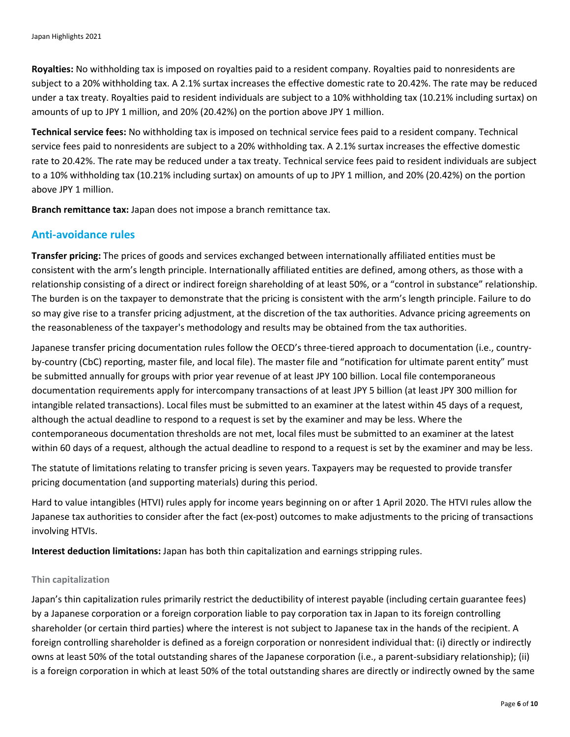**Royalties:** No withholding tax is imposed on royalties paid to a resident company. Royalties paid to nonresidents are subject to a 20% withholding tax. A 2.1% surtax increases the effective domestic rate to 20.42%. The rate may be reduced under a tax treaty. Royalties paid to resident individuals are subject to a 10% withholding tax (10.21% including surtax) on amounts of up to JPY 1 million, and 20% (20.42%) on the portion above JPY 1 million.

**Technical service fees:** No withholding tax is imposed on technical service fees paid to a resident company. Technical service fees paid to nonresidents are subject to a 20% withholding tax. A 2.1% surtax increases the effective domestic rate to 20.42%. The rate may be reduced under a tax treaty. Technical service fees paid to resident individuals are subject to a 10% withholding tax (10.21% including surtax) on amounts of up to JPY 1 million, and 20% (20.42%) on the portion above JPY 1 million.

**Branch remittance tax:** Japan does not impose a branch remittance tax.

### **Anti-avoidance rules**

**Transfer pricing:** The prices of goods and services exchanged between internationally affiliated entities must be consistent with the arm's length principle. Internationally affiliated entities are defined, among others, as those with a relationship consisting of a direct or indirect foreign shareholding of at least 50%, or a "control in substance" relationship. The burden is on the taxpayer to demonstrate that the pricing is consistent with the arm's length principle. Failure to do so may give rise to a transfer pricing adjustment, at the discretion of the tax authorities. Advance pricing agreements on the reasonableness of the taxpayer's methodology and results may be obtained from the tax authorities.

Japanese transfer pricing documentation rules follow the OECD's three-tiered approach to documentation (i.e., countryby-country (CbC) reporting, master file, and local file). The master file and "notification for ultimate parent entity" must be submitted annually for groups with prior year revenue of at least JPY 100 billion. Local file contemporaneous documentation requirements apply for intercompany transactions of at least JPY 5 billion (at least JPY 300 million for intangible related transactions). Local files must be submitted to an examiner at the latest within 45 days of a request, although the actual deadline to respond to a request is set by the examiner and may be less. Where the contemporaneous documentation thresholds are not met, local files must be submitted to an examiner at the latest within 60 days of a request, although the actual deadline to respond to a request is set by the examiner and may be less.

The statute of limitations relating to transfer pricing is seven years. Taxpayers may be requested to provide transfer pricing documentation (and supporting materials) during this period.

Hard to value intangibles (HTVI) rules apply for income years beginning on or after 1 April 2020. The HTVI rules allow the Japanese tax authorities to consider after the fact (ex-post) outcomes to make adjustments to the pricing of transactions involving HTVIs.

**Interest deduction limitations:** Japan has both thin capitalization and earnings stripping rules.

#### **Thin capitalization**

Japan's thin capitalization rules primarily restrict the deductibility of interest payable (including certain guarantee fees) by a Japanese corporation or a foreign corporation liable to pay corporation tax in Japan to its foreign controlling shareholder (or certain third parties) where the interest is not subject to Japanese tax in the hands of the recipient. A foreign controlling shareholder is defined as a foreign corporation or nonresident individual that: (i) directly or indirectly owns at least 50% of the total outstanding shares of the Japanese corporation (i.e., a parent-subsidiary relationship); (ii) is a foreign corporation in which at least 50% of the total outstanding shares are directly or indirectly owned by the same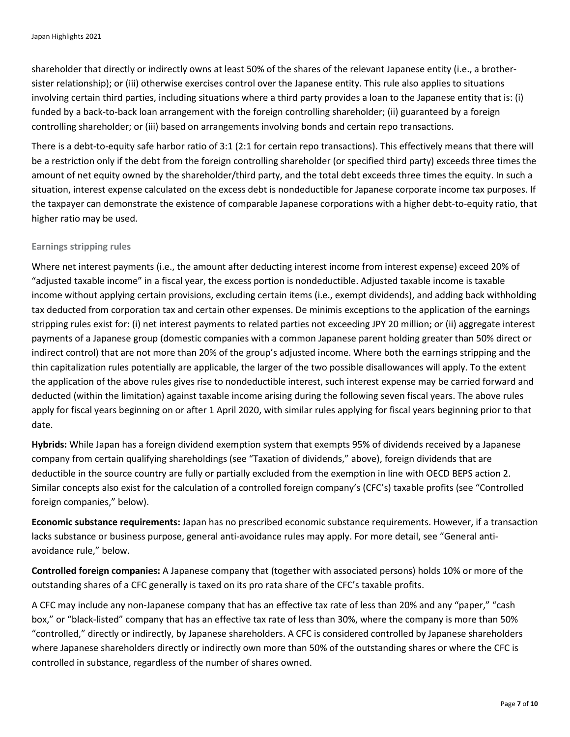shareholder that directly or indirectly owns at least 50% of the shares of the relevant Japanese entity (i.e., a brothersister relationship); or (iii) otherwise exercises control over the Japanese entity. This rule also applies to situations involving certain third parties, including situations where a third party provides a loan to the Japanese entity that is: (i) funded by a back-to-back loan arrangement with the foreign controlling shareholder; (ii) guaranteed by a foreign controlling shareholder; or (iii) based on arrangements involving bonds and certain repo transactions.

There is a debt-to-equity safe harbor ratio of 3:1 (2:1 for certain repo transactions). This effectively means that there will be a restriction only if the debt from the foreign controlling shareholder (or specified third party) exceeds three times the amount of net equity owned by the shareholder/third party, and the total debt exceeds three times the equity. In such a situation, interest expense calculated on the excess debt is nondeductible for Japanese corporate income tax purposes. If the taxpayer can demonstrate the existence of comparable Japanese corporations with a higher debt-to-equity ratio, that higher ratio may be used.

#### **Earnings stripping rules**

Where net interest payments (i.e., the amount after deducting interest income from interest expense) exceed 20% of "adjusted taxable income" in a fiscal year, the excess portion is nondeductible. Adjusted taxable income is taxable income without applying certain provisions, excluding certain items (i.e., exempt dividends), and adding back withholding tax deducted from corporation tax and certain other expenses. De minimis exceptions to the application of the earnings stripping rules exist for: (i) net interest payments to related parties not exceeding JPY 20 million; or (ii) aggregate interest payments of a Japanese group (domestic companies with a common Japanese parent holding greater than 50% direct or indirect control) that are not more than 20% of the group's adjusted income. Where both the earnings stripping and the thin capitalization rules potentially are applicable, the larger of the two possible disallowances will apply. To the extent the application of the above rules gives rise to nondeductible interest, such interest expense may be carried forward and deducted (within the limitation) against taxable income arising during the following seven fiscal years. The above rules apply for fiscal years beginning on or after 1 April 2020, with similar rules applying for fiscal years beginning prior to that date.

**Hybrids:** While Japan has a foreign dividend exemption system that exempts 95% of dividends received by a Japanese company from certain qualifying shareholdings (see "Taxation of dividends," above), foreign dividends that are deductible in the source country are fully or partially excluded from the exemption in line with OECD BEPS action 2. Similar concepts also exist for the calculation of a controlled foreign company's (CFC's) taxable profits (see "Controlled foreign companies," below).

**Economic substance requirements:** Japan has no prescribed economic substance requirements. However, if a transaction lacks substance or business purpose, general anti-avoidance rules may apply. For more detail, see "General antiavoidance rule," below.

**Controlled foreign companies:** A Japanese company that (together with associated persons) holds 10% or more of the outstanding shares of a CFC generally is taxed on its pro rata share of the CFC's taxable profits.

A CFC may include any non-Japanese company that has an effective tax rate of less than 20% and any "paper," "cash box," or "black-listed" company that has an effective tax rate of less than 30%, where the company is more than 50% "controlled," directly or indirectly, by Japanese shareholders. A CFC is considered controlled by Japanese shareholders where Japanese shareholders directly or indirectly own more than 50% of the outstanding shares or where the CFC is controlled in substance, regardless of the number of shares owned.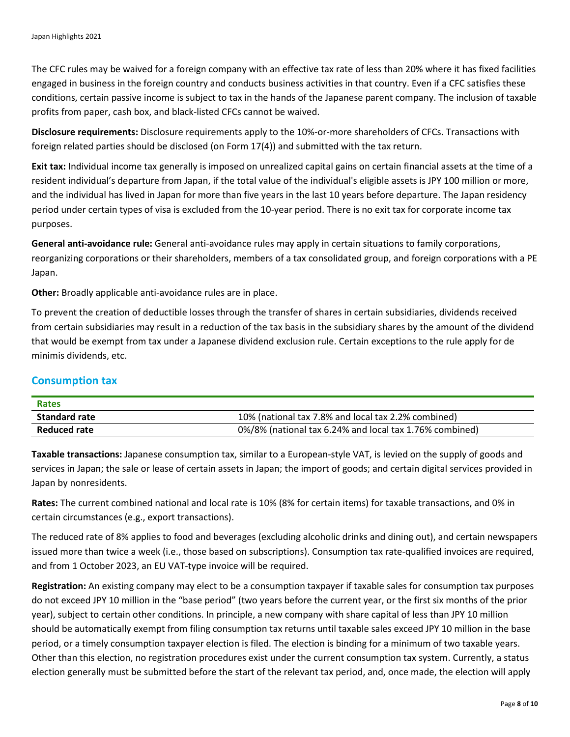The CFC rules may be waived for a foreign company with an effective tax rate of less than 20% where it has fixed facilities engaged in business in the foreign country and conducts business activities in that country. Even if a CFC satisfies these conditions, certain passive income is subject to tax in the hands of the Japanese parent company. The inclusion of taxable profits from paper, cash box, and black-listed CFCs cannot be waived.

**Disclosure requirements:** Disclosure requirements apply to the 10%-or-more shareholders of CFCs. Transactions with foreign related parties should be disclosed (on Form 17(4)) and submitted with the tax return.

**Exit tax:** Individual income tax generally is imposed on unrealized capital gains on certain financial assets at the time of a resident individual's departure from Japan, if the total value of the individual's eligible assets is JPY 100 million or more, and the individual has lived in Japan for more than five years in the last 10 years before departure. The Japan residency period under certain types of visa is excluded from the 10-year period. There is no exit tax for corporate income tax purposes.

**General anti-avoidance rule:** General anti-avoidance rules may apply in certain situations to family corporations, reorganizing corporations or their shareholders, members of a tax consolidated group, and foreign corporations with a PE Japan.

**Other:** Broadly applicable anti-avoidance rules are in place.

To prevent the creation of deductible losses through the transfer of shares in certain subsidiaries, dividends received from certain subsidiaries may result in a reduction of the tax basis in the subsidiary shares by the amount of the dividend that would be exempt from tax under a Japanese dividend exclusion rule. Certain exceptions to the rule apply for de minimis dividends, etc.

#### **Consumption tax**

| Rates                |                                                         |
|----------------------|---------------------------------------------------------|
| <b>Standard rate</b> | 10% (national tax 7.8% and local tax 2.2% combined)     |
| Reduced rate         | 0%/8% (national tax 6.24% and local tax 1.76% combined) |

**Taxable transactions:** Japanese consumption tax, similar to a European-style VAT, is levied on the supply of goods and services in Japan; the sale or lease of certain assets in Japan; the import of goods; and certain digital services provided in Japan by nonresidents.

**Rates:** The current combined national and local rate is 10% (8% for certain items) for taxable transactions, and 0% in certain circumstances (e.g., export transactions).

The reduced rate of 8% applies to food and beverages (excluding alcoholic drinks and dining out), and certain newspapers issued more than twice a week (i.e., those based on subscriptions). Consumption tax rate-qualified invoices are required, and from 1 October 2023, an EU VAT-type invoice will be required.

**Registration:** An existing company may elect to be a consumption taxpayer if taxable sales for consumption tax purposes do not exceed JPY 10 million in the "base period" (two years before the current year, or the first six months of the prior year), subject to certain other conditions. In principle, a new company with share capital of less than JPY 10 million should be automatically exempt from filing consumption tax returns until taxable sales exceed JPY 10 million in the base period, or a timely consumption taxpayer election is filed. The election is binding for a minimum of two taxable years. Other than this election, no registration procedures exist under the current consumption tax system. Currently, a status election generally must be submitted before the start of the relevant tax period, and, once made, the election will apply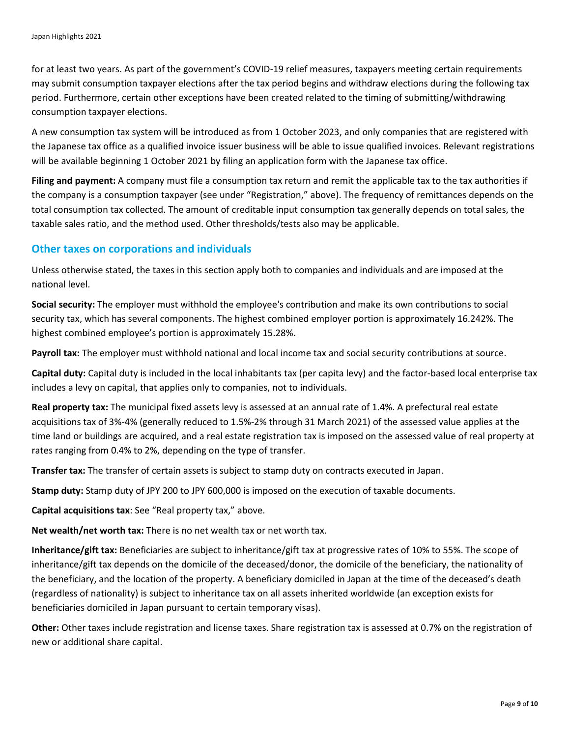for at least two years. As part of the government's COVID-19 relief measures, taxpayers meeting certain requirements may submit consumption taxpayer elections after the tax period begins and withdraw elections during the following tax period. Furthermore, certain other exceptions have been created related to the timing of submitting/withdrawing consumption taxpayer elections.

A new consumption tax system will be introduced as from 1 October 2023, and only companies that are registered with the Japanese tax office as a qualified invoice issuer business will be able to issue qualified invoices. Relevant registrations will be available beginning 1 October 2021 by filing an application form with the Japanese tax office.

**Filing and payment:** A company must file a consumption tax return and remit the applicable tax to the tax authorities if the company is a consumption taxpayer (see under "Registration," above). The frequency of remittances depends on the total consumption tax collected. The amount of creditable input consumption tax generally depends on total sales, the taxable sales ratio, and the method used. Other thresholds/tests also may be applicable.

#### **Other taxes on corporations and individuals**

Unless otherwise stated, the taxes in this section apply both to companies and individuals and are imposed at the national level.

**Social security:** The employer must withhold the employee's contribution and make its own contributions to social security tax, which has several components. The highest combined employer portion is approximately 16.242%. The highest combined employee's portion is approximately 15.28%.

**Payroll tax:** The employer must withhold national and local income tax and social security contributions at source.

**Capital duty:** Capital duty is included in the local inhabitants tax (per capita levy) and the factor-based local enterprise tax includes a levy on capital, that applies only to companies, not to individuals.

**Real property tax:** The municipal fixed assets levy is assessed at an annual rate of 1.4%. A prefectural real estate acquisitions tax of 3%-4% (generally reduced to 1.5%-2% through 31 March 2021) of the assessed value applies at the time land or buildings are acquired, and a real estate registration tax is imposed on the assessed value of real property at rates ranging from 0.4% to 2%, depending on the type of transfer.

**Transfer tax:** The transfer of certain assets is subject to stamp duty on contracts executed in Japan.

**Stamp duty:** Stamp duty of JPY 200 to JPY 600,000 is imposed on the execution of taxable documents.

**Capital acquisitions tax**: See "Real property tax," above.

**Net wealth/net worth tax:** There is no net wealth tax or net worth tax.

**Inheritance/gift tax:** Beneficiaries are subject to inheritance/gift tax at progressive rates of 10% to 55%. The scope of inheritance/gift tax depends on the domicile of the deceased/donor, the domicile of the beneficiary, the nationality of the beneficiary, and the location of the property. A beneficiary domiciled in Japan at the time of the deceased's death (regardless of nationality) is subject to inheritance tax on all assets inherited worldwide (an exception exists for beneficiaries domiciled in Japan pursuant to certain temporary visas).

**Other:** Other taxes include registration and license taxes. Share registration tax is assessed at 0.7% on the registration of new or additional share capital.